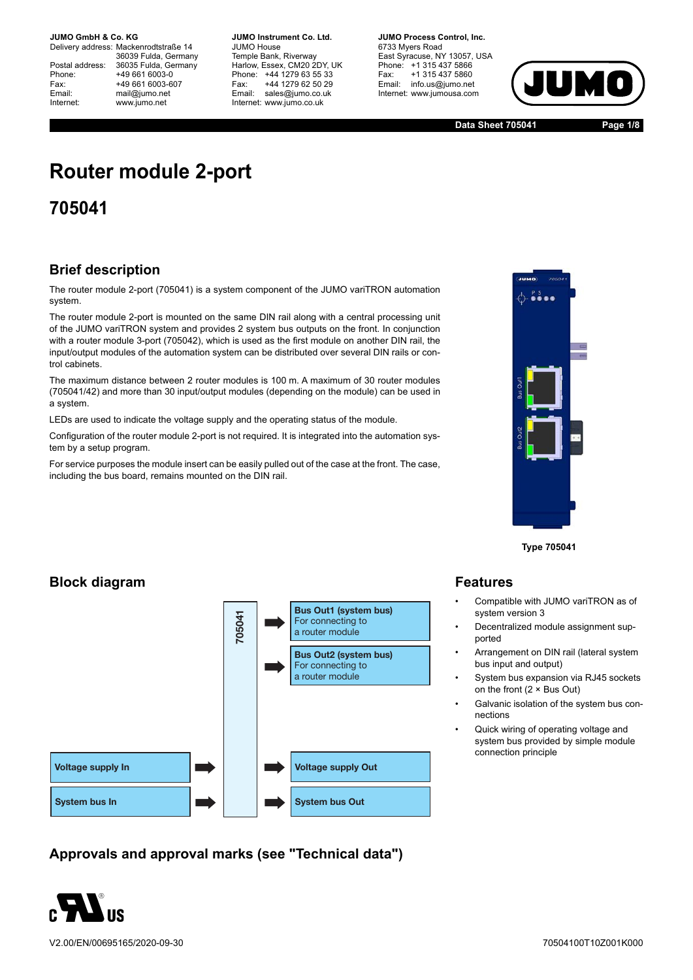Delivery address: Mackenrodtstraße 14 36039 Fulda, Germany Postal address: 36035 Fulda, Germany<br>Phone: +49 661 6003-0 Phone: +49 661 6003-0<br>Fax: +49 661 6003-6 Fax: +49 661 6003-607<br>
Fmail: mail@iumo.net mail@jumo.net Internet: www.jumo.net

**-BUMO Instrument Co. Ltd.** JUMO House Temple Bank, Riverway Harlow, Essex, CM20 2DY, UK Phone: +44 1279 63 55 33<br>Fax: +44 1279 62 50 29 +44 1279 62 50 29 Email: sales@jumo.co.uk Internet: www.jumo.co.uk

**JUMO Process Control, Inc.** 6733 Myers Road East Syracuse, NY 13057, USA Phone: +1 315 437 5866<br>Fax: +1 315 437 5860 Fax: +1 315 437 5860<br>Email: info.us@jumo.net info.us@jumo.net Internet: www.jumousa.com



**Data Sheet 705041 Page 1/8**

# **Router module 2-port**

**705041**

### **Brief description**

The router module 2-port (705041) is a system component of the JUMO variTRON automation system.

The router module 2-port is mounted on the same DIN rail along with a central processing unit of the JUMO variTRON system and provides 2 system bus outputs on the front. In conjunction with a router module 3-port (705042), which is used as the first module on another DIN rail, the input/output modules of the automation system can be distributed over several DIN rails or control cabinets.

The maximum distance between 2 router modules is 100 m. A maximum of 30 router modules (705041/42) and more than 30 input/output modules (depending on the module) can be used in a system.

LEDs are used to indicate the voltage supply and the operating status of the module.

Configuration of the router module 2-port is not required. It is integrated into the automation system by a setup program.

For service purposes the module insert can be easily pulled out of the case at the front. The case, including the bus board, remains mounted on the DIN rail.



**Type 705041**

### **Block diagram**



**Approvals and approval marks (see "Technical data")**



V2.00/EN/00695165/2020-09-30

#### **Features**

- Compatible with JUMO variTRON as of system version 3
- Decentralized module assignment supported
- Arrangement on DIN rail (lateral system bus input and output)
- System bus expansion via RJ45 sockets on the front (2 × Bus Out)
- Galvanic isolation of the system bus connections
- Quick wiring of operating voltage and system bus provided by simple module connection principle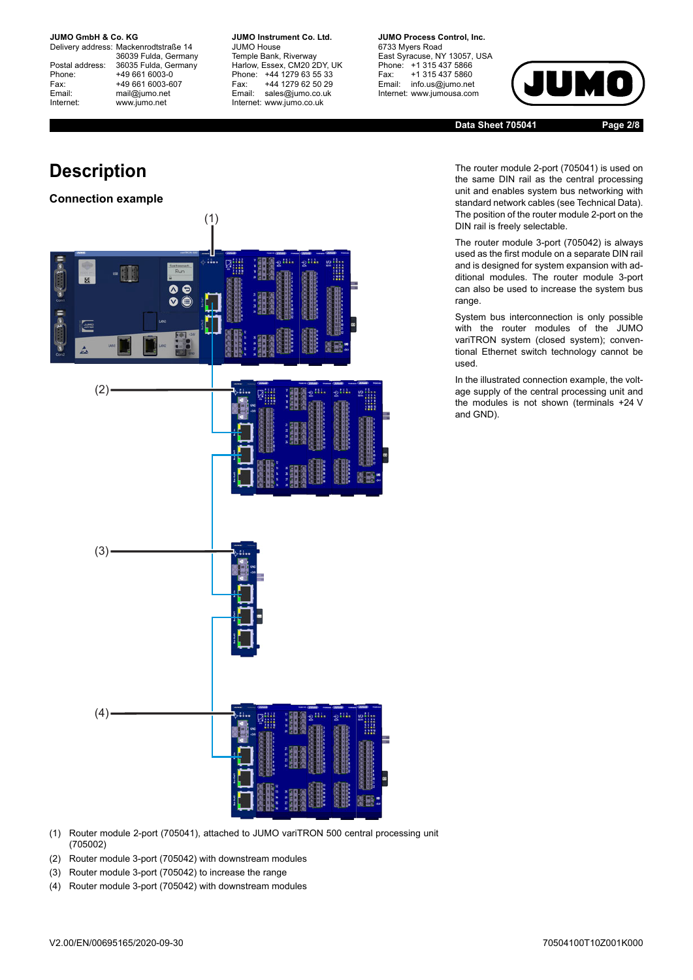Delivery address: Mackenrodtstraße 14 36039 Fulda, Germany Postal address: 36035 Fulda, Germany<br>Phone: +49 661 6003-0 Phone: +49 661 6003-0<br>Fax: +49 661 6003-6 Fax: +49 661 6003-607<br>
Fmail: mail@iumo.net mail@jumo.net Internet: www.jumo.net

**JUMO Instrument Co. Ltd.** JUMO House Temple Bank, Riverway Harlow, Essex, CM20 2DY, UK Phone: +44 1279 63 55 33<br>Fax: +44 1279 62 50 29 Fax: +44 1279 62 50 29<br>
Email: sales@iumo.co.uk sales@jumo.co.uk Internet: www.jumo.co.uk

**JUMO Process Control, Inc.** 6733 Myers Road East Syracuse, NY 13057, USA Phone: +1 315 437 5866<br>Fax: +1 315 437 5860 Fax: +1 315 437 5860<br>Email: info.us@jumo.net info.us@jumo.net Internet: www.jumousa.com



**Data Sheet 705041 Page 2/8**

The router module 2-port (705041) is used on the same DIN rail as the central processing unit and enables system bus networking with standard network cables (see Technical Data). The position of the router module 2-port on the DIN rail is freely selectable.

The router module 3-port (705042) is always used as the first module on a separate DIN rail and is designed for system expansion with additional modules. The router module 3-port can also be used to increase the system bus range.

System bus interconnection is only possible with the router modules of the JUMO variTRON system (closed system); conventional Ethernet switch technology cannot be used.

In the illustrated connection example, the voltage supply of the central processing unit and the modules is not shown (terminals +24 V and GND).

# **Description**

#### **Connection example**



- (1) Router module 2-port (705041), attached to JUMO variTRON 500 central processing unit (705002)
- (2) Router module 3-port (705042) with downstream modules
- (3) Router module 3-port (705042) to increase the range
- (4) Router module 3-port (705042) with downstream modules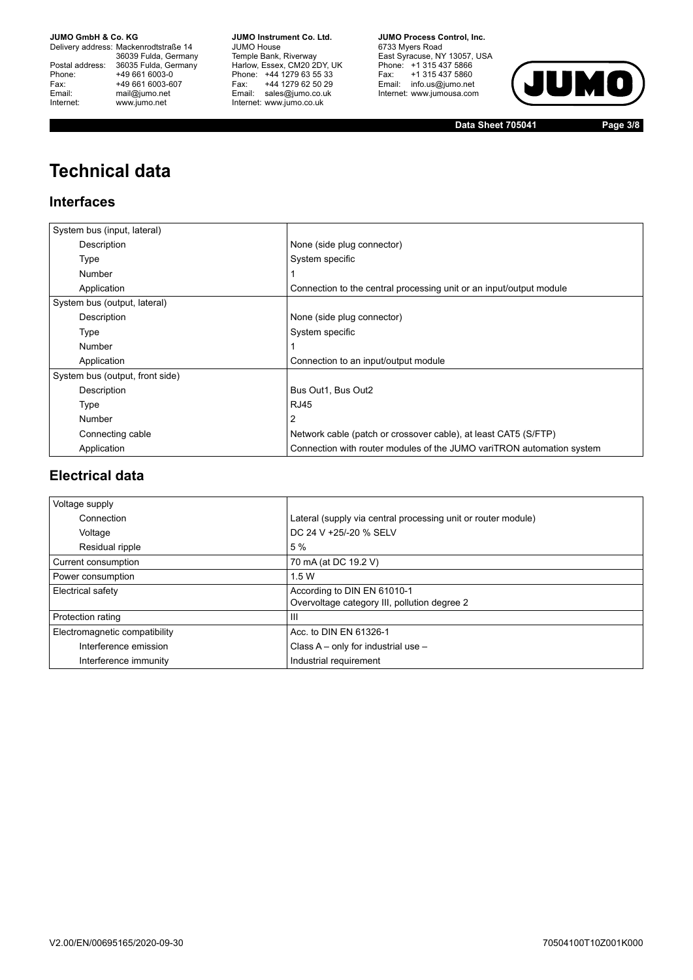Delivery address: Mackenrodtstraße 14 36039 Fulda, Germany<br>Postal address: 36035 Fulda, Germany Phone: +49 661 6003-0<br>
Fax: +49 661 6003-6<br>
Email: mail@jumo.net +49 661 6003-607 Email: mail@jumo.net<br>Internet: www.iumo.net www.jumo.net

**JUMO Instrument Co. Ltd.** JUMO House Temple Bank, Riverway<br>Harlow, Essex, CM20 2DY, UK Phone: +44 1279 63 55 33 Fax: +44 1279 62 50 29<br>Email: sales@jumo.co.uk Internet: www.jumo.co.uk

**JUMO Process Control. Inc.** 6733 Myers Road East Syracuse, NY 13057, USA<br>Phone: +1 315 437 5866<br>Fax: +1 315 437 5860 Email: info.us@jumo.net Internet: www.jumousa.com



**Data Sheet 705041 Page 3/8**

# **Technical data**

### **Interfaces**

| System bus (input, lateral)     |                                                                       |
|---------------------------------|-----------------------------------------------------------------------|
| Description                     | None (side plug connector)                                            |
| Type                            | System specific                                                       |
| <b>Number</b>                   |                                                                       |
| Application                     | Connection to the central processing unit or an input/output module   |
| System bus (output, lateral)    |                                                                       |
| Description                     | None (side plug connector)                                            |
| Type                            | System specific                                                       |
| Number                          |                                                                       |
| Application                     | Connection to an input/output module                                  |
| System bus (output, front side) |                                                                       |
| Description                     | Bus Out1, Bus Out2                                                    |
| Type                            | <b>RJ45</b>                                                           |
| Number                          | 2                                                                     |
| Connecting cable                | Network cable (patch or crossover cable), at least CAT5 (S/FTP)       |
| Application                     | Connection with router modules of the JUMO variTRON automation system |

### **Electrical data**

| Voltage supply                |                                                               |
|-------------------------------|---------------------------------------------------------------|
| Connection                    | Lateral (supply via central processing unit or router module) |
| Voltage                       | DC 24 V +25/-20 % SELV                                        |
| Residual ripple               | 5 %                                                           |
| Current consumption           | 70 mA (at DC 19.2 V)                                          |
| Power consumption             | 1.5W                                                          |
| Electrical safety             | According to DIN EN 61010-1                                   |
|                               | Overvoltage category III, pollution degree 2                  |
| Protection rating             | Ш                                                             |
| Electromagnetic compatibility | Acc. to DIN EN 61326-1                                        |
| Interference emission         | Class $A - only$ for industrial use $-$                       |
| Interference immunity         | Industrial requirement                                        |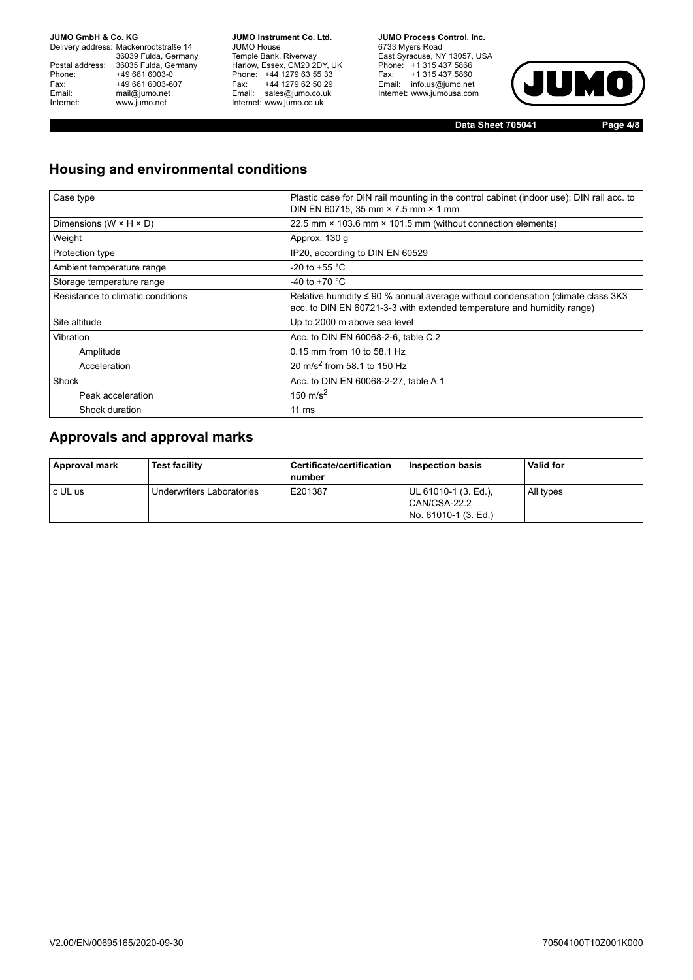Delivery address: Mackenrodtstraße 14 36039 Fulda, Germany<br>Postal address: 36035 Fulda, Germany Phone: +49 661 6003-0<br>
Fax: +49 661 6003-6<br>
Email: mail@jumo.net +49 661 6003-607 Email: mail@jumo.net<br>Internet: www.iumo.net www.jumo.net

**JUMO Instrument Co. Ltd.** JUMO House Temple Bank, Riverway<br>Harlow, Essex, CM20 2DY, UK Phone: +44 1279 63 55 33 Fax: +44 1279 62 50 29<br>Email: sales@jumo.co.uk Internet: www.jumo.co.uk

**JUMO Process Control. Inc.** 6733 Myers Road East Syracuse, NY 13057, USA<br>Phone: +1 315 437 5866<br>Fax: +1 315 437 5860 Email: info.us@jumo.net Internet: www.jumousa.com



**Data Sheet 705041 Page 4/8**

### **Housing and environmental conditions**

| Case type                            | Plastic case for DIN rail mounting in the control cabinet (indoor use); DIN rail acc. to<br>DIN EN 60715, 35 mm × 7.5 mm × 1 mm                                |  |  |
|--------------------------------------|----------------------------------------------------------------------------------------------------------------------------------------------------------------|--|--|
| Dimensions ( $W \times H \times D$ ) | 22.5 mm × 103.6 mm × 101.5 mm (without connection elements)                                                                                                    |  |  |
| Weight                               | Approx. 130 g                                                                                                                                                  |  |  |
| Protection type                      | IP20, according to DIN EN 60529                                                                                                                                |  |  |
| Ambient temperature range            | -20 to +55 $^{\circ}$ C                                                                                                                                        |  |  |
| Storage temperature range            | -40 to +70 $^{\circ}$ C                                                                                                                                        |  |  |
| Resistance to climatic conditions    | Relative humidity $\leq 90$ % annual average without condensation (climate class 3K3<br>acc. to DIN EN 60721-3-3 with extended temperature and humidity range) |  |  |
| Site altitude                        | Up to 2000 m above sea level                                                                                                                                   |  |  |
| Vibration                            | Acc. to DIN EN 60068-2-6, table C.2                                                                                                                            |  |  |
| Amplitude                            | 0.15 mm from 10 to 58.1 Hz                                                                                                                                     |  |  |
| Acceleration                         | 20 m/s <sup>2</sup> from 58.1 to 150 Hz                                                                                                                        |  |  |
| Shock                                | Acc. to DIN EN 60068-2-27, table A.1                                                                                                                           |  |  |
| Peak acceleration                    | 150 m/s <sup>2</sup>                                                                                                                                           |  |  |
| Shock duration                       | 11 $ms$                                                                                                                                                        |  |  |

#### **Approvals and approval marks**

| Approval mark | <b>Test facility</b>      | Certificate/certification<br>number | Inspection basis                                             | <b>Valid for</b> |
|---------------|---------------------------|-------------------------------------|--------------------------------------------------------------|------------------|
| c UL us       | Underwriters Laboratories | E201387                             | UL 61010-1 (3. Ed.).<br>CAN/CSA-22.2<br>No. 61010-1 (3. Ed.) | All types        |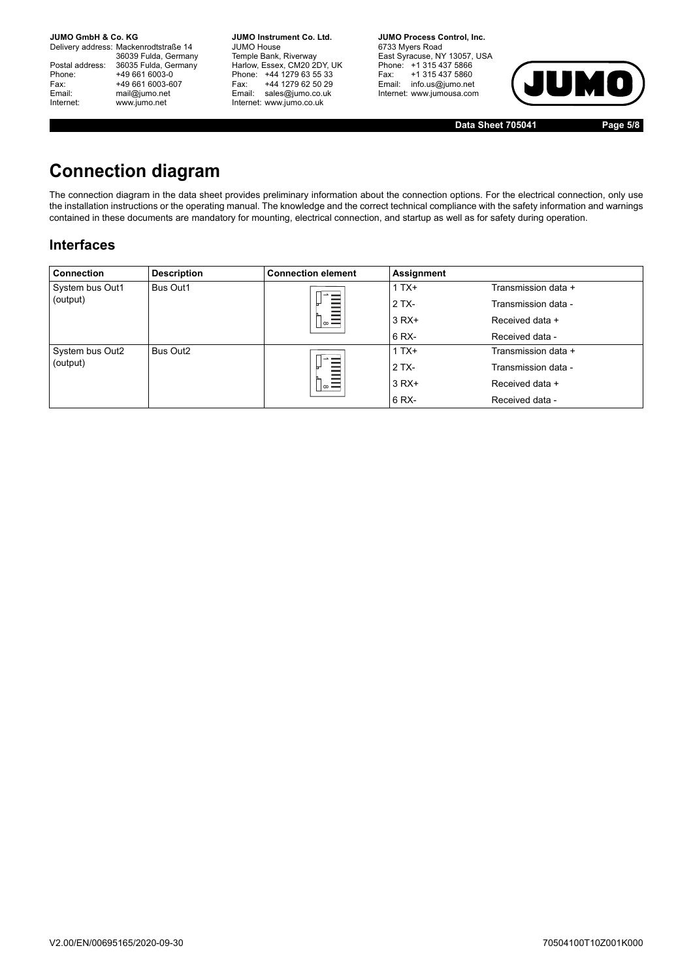Delivery address: Mackenrodtstraße 14 36039 Fulda, Germany<br>Postal address: 36035 Fulda, Germany Phone: +49 661 6003-0<br>
Fax: +49 661 6003-6<br>
Email: mail@jumo.net +49 661 6003-607 mail@jumo.net Internet: www.jumo.net

**JUMO Instrument Co. Ltd.** JUMO House Temple Bank, Riverway<br>Harlow, Essex, CM20 2DY, UK Phone: +44 1279 63 55 33<br>Fax: +44 1279 62 50 29 +44 1279 62 50 29 Email: sales@jumo.co.uk Internet: www.jumo.co.uk

**JUMO Process Control, Inc.** 6733 Myers Road East Syracuse, NY 13057, USA Phone: +1 315 437 5866<br>Fax: +1 315 437 5860 Email: info.us@jumo.net Internet: www.jumousa.com



**Data Sheet 705041 Page 5/8**

## **Connection diagram**

The connection diagram in the data sheet provides preliminary information about the connection options. For the electrical connection, only use the installation instructions or the operating manual. The knowledge and the correct technical compliance with the safety information and warnings contained in these documents are mandatory for mounting, electrical connection, and startup as well as for safety during operation.

#### **Interfaces**

| <b>Connection</b> | <b>Description</b>   | <b>Connection element</b> | Assignment |                     |
|-------------------|----------------------|---------------------------|------------|---------------------|
| System bus Out1   | <b>Bus Out1</b>      |                           | $1TX+$     | Transmission data + |
| (output)          |                      |                           | $2TX -$    | Transmission data - |
|                   |                      | $\circ$ $-$               | $3 RX+$    | Received data +     |
|                   |                      |                           | 6 RX-      | Received data -     |
| System bus Out2   | Bus Out <sub>2</sub> |                           | $1 T X+$   | Transmission data + |
| (output)          |                      |                           | $2TX -$    | Transmission data - |
|                   |                      | $  \infty$                | $3 RX+$    | Received data +     |
|                   |                      |                           | 6 RX-      | Received data -     |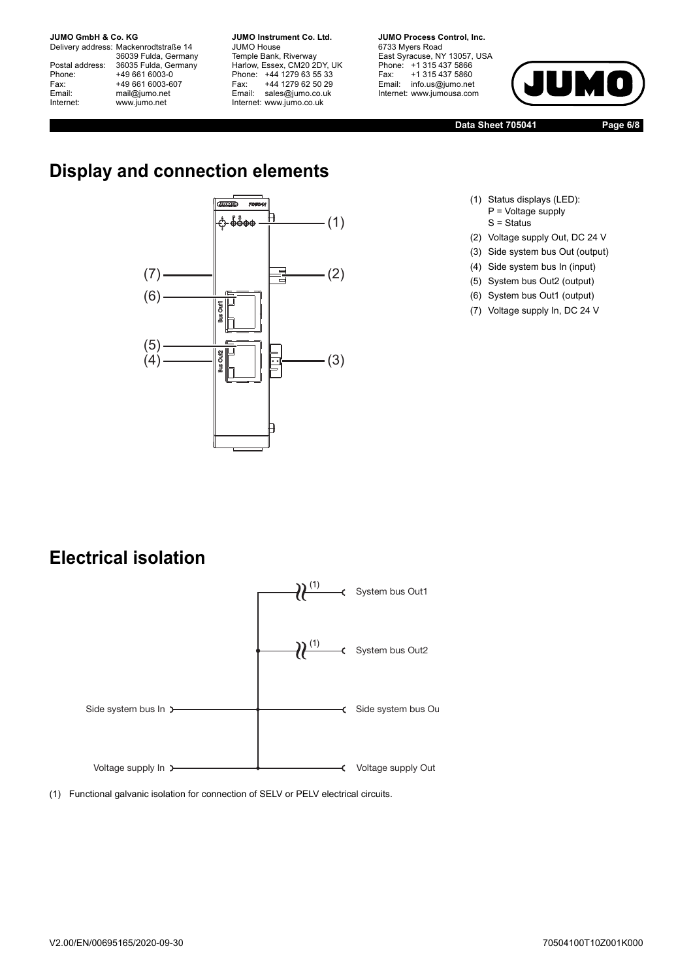Delivery address: Mackenrodtstraße 14 36039 Fulda, Germany Postal address: 36035 Fulda, Germany<br>Phone: +49 661 6003-0 Phone: +49 661 6003-0<br>
Fax: +49 661 6003-6<br>
Email: mail@jumo.net +49 661 6003-607 mail@jumo.net Internet: www.jumo.net

**JUMO Instrument Co. Ltd.** JUMO House Temple Bank, Riverway<br>Harlow, Essex, CM20 2DY, UK Phone: +44 1279 63 55 33<br>Fax: +44 1279 62 50 29 +44 1279 62 50 29 Email: sales@jumo.co.uk Internet: www.jumo.co.uk

**JUMO Process Control, Inc.** 6733 Myers Road East Syracuse, NY 13057, USA Phone: +1 315 437 5866<br>Fax: +1 315 437 5860 Email: info.us@jumo.net Internet: www.jumousa.com



**Data Sheet 705041 Page 6/8**

## **Display and connection elements**



- (1) Status displays (LED): P = Voltage supply  $S =$  Status
- (2) Voltage supply Out, DC 24 V
- (3) Side system bus Out (output)
- (4) Side system bus In (input)
- (5) System bus Out2 (output)
- (6) System bus Out1 (output)
- (7) Voltage supply In, DC 24 V

### **Electrical isolation**



(1) Functional galvanic isolation for connection of SELV or PELV electrical circuits.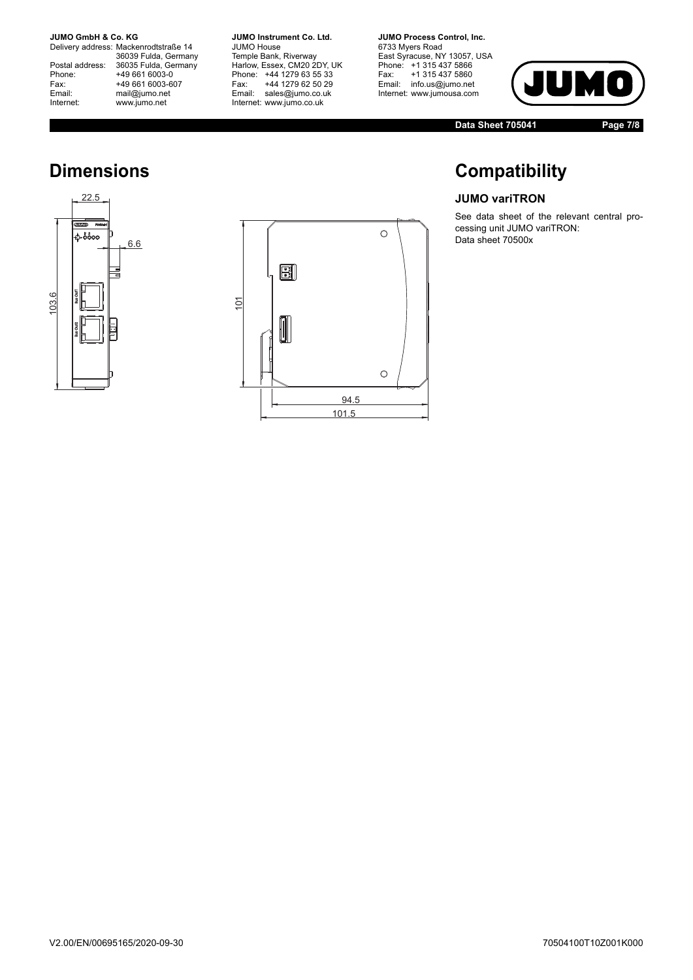Delivery address: Mackenrodtstraße 14 36039 Fulda, Germany<br>Postal address: 36035 Fulda, Germany Phone: +49 661 6003-0<br>
Fax: +49 661 6003-6<br>
Email: mail@jumo.net +49 661 6003-607 Email: mail@jumo.net<br>Internet: www.iumo.net www.jumo.net

**JUMO Instrument Co. Ltd.** JUMO House Temple Bank, Riverway<br>Harlow, Essex, CM20 2DY, UK Phone: +44 1279 63 55 33<br>Fax: +44 1279 62 50 29 +44 1279 62 50 29 Email: sales@jumo.co.uk Internet: www.jumo.co.uk

**JUMO Process Control, Inc.** 6733 Myers Road East Syracuse, NY 13057, USA<br>Phone: +1 315 437 5866<br>Fax: +1 315 437 5860 rax. Tribitary 5000 Internet: www.jumousa.com



**Data Sheet 705041 Page 7/8**

## **Compatibility**

#### **JUMO variTRON**

See data sheet of the relevant central processing unit JUMO variTRON: Data sheet 70500x